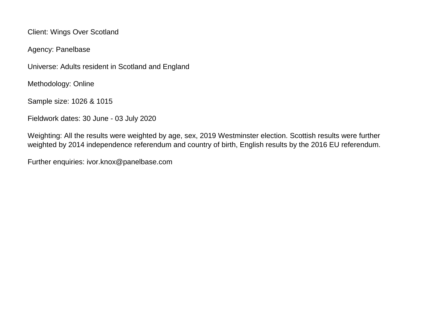Client: Wings Over Scotland

Agency: Panelbase

Universe: Adults resident in Scotland and England

Methodology: Online

Sample size: 1026 & 1015

Fieldwork dates: 30 June - 03 July 2020

Weighting: All the results were weighted by age, sex, 2019 Westminster election. Scottish results were further weighted by 2014 independence referendum and country of birth, English results by the 2016 EU referendum.

Further enquiries: ivor.knox@panelbase.com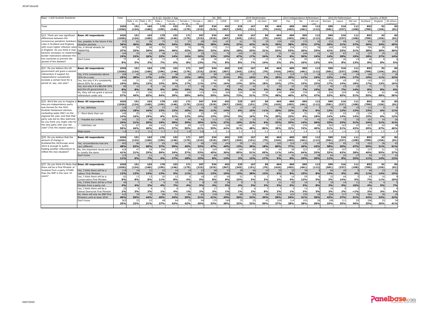| Base: 1,026 Scottish Residents                                      |                                                                   | Total                | S2 & O3. Gender X Age |                       |              |              |                         |                      | S4, SEG      |                       |                      | 2019 Westminster |                        |              |              |              | 2014 Independence Referendum<br>2016 EU Referendum |              |              |                | Country of Birth |             |                       |
|---------------------------------------------------------------------|-------------------------------------------------------------------|----------------------|-----------------------|-----------------------|--------------|--------------|-------------------------|----------------------|--------------|-----------------------|----------------------|------------------|------------------------|--------------|--------------|--------------|----------------------------------------------------|--------------|--------------|----------------|------------------|-------------|-----------------------|
|                                                                     |                                                                   |                      |                       | 1ale x 16- Male x 35- | Male >       | Female >     | Female x                | Female               | ABC1         | C <sub>2</sub> DE     | CON                  | LAB              | Lib Dem                | SNP          | Yes          | No           | I did not                                          | Remain       | Leave        | Did not        | Scotland         | England     | All others            |
| Total                                                               |                                                                   | 1026                 | 24<br>151             | 163                   | cc.<br>178   | 16.24<br>152 | 25E<br>171              | cc<br>207            | 534          | 492                   | 225                  | 167              | 85                     | 404          | 409          | 505          | 112                                                | 599          | 316          | 111            | 852              | 92          | 82                    |
|                                                                     |                                                                   | (1026)               | (124)                 | (160)                 | (199)        | (146)        | (179)                   | (215)                | (519)        | (507)                 | (245)                | (151)            | (79)                   | (410)        | (453)        | (461)        | (112)                                              | (581)        | (337)        | (108)          | (789)            | (156)       | (81)                  |
| Q15. There are now significant                                      | <b>Base: All respondents</b>                                      | 1026                 | 151                   | 163                   | 178          | 152          | 171                     | 207                  | 534          | 492                   | 225                  | 167              | 85                     | 404          | 409          | 505          | 112                                                | 599          | 316          | 111            | 852              | 92          | 82                    |
| differences between the                                             |                                                                   | (1026)               | (124)                 | (160)                 | (199)        | (146)        | (179)                   | (215)                | (519)        | (507)                 | (245)                | (151)            | (79)                   | (410)        | (453)        | (461)        | (112)                                              | (581)        | (337)        | (108)          | (789)            | 156)        | (81)                  |
| coronavirus pandemic lockdowr                                       | Yes, possibly in the future if the                                | 372                  | 61                    | 59                    | 75           | 51           | 57                      |                      | 204          | 167                   | 61                   | 70               | 35                     | 159          | 155          | 175          | 42                                                 | 232          | 99           | 41             | 303              | 32          | 37                    |
| rules in Scotland and England,                                      | ituation persists                                                 | 36%                  | 40%<br>50             | 36%                   | 42%          | 34%          | 33%                     | 33%                  | 38%          | 34%                   | 27%                  | 42%              | 41%                    | 39%          | 38%          | 35%          | 37%                                                | 39%          | 31%          | 37%            | 36%              | 34%         | 45%                   |
| with much higher infection rate:<br>in England. Do you think it may | Yes, it should already be<br>happening                            | 383<br>37%           | 33%                   | 56<br>34%             | 52<br>29%    | 46%          | 43%                     | 38%                  | 172<br>32%   | 211<br>43%            | 18%                  | 56<br>33%        | 18<br>21%              | 209<br>52%   | 216<br>53%   | 131<br>26%   | 33%                                                | 245<br>41%   | 104<br>33%   | 31%            | 326<br>38%       | 28<br>30%   | 36%                   |
| become necessary to implemen                                        |                                                                   | 194                  | 33                    | 42                    | 38           | 21           | 27                      | $\overline{3}$       | 121          | 72                    | 105                  | 29               | 21                     | 22           | 24           | 149          | 21                                                 | 85           | 87           | 21             | 157              | 25          | 12                    |
| border restrictions between the                                     |                                                                   | 19%                  | 22%                   | 26%                   | 22%          | 14%          | 16%                     | 16%                  | 23%          | 15%                   | 47%                  | 17%              | 24%                    | 5%           | 6%           | 30%          | 19%                                                | 14%          | 28%          | 19%            | 18%              | 27%         | 14%                   |
| two countries to prevent the<br>spread of the disease?              | Don't know                                                        | 7 <sup>2</sup><br>8% | 5%                    | 3%                    | -13<br>7%    | 6%           | 14<br>8%                | $\mathcal{D}$<br>13% | 36<br>7%     | $\overline{4}$<br>8%  | 1 <sup>1</sup><br>8% | 12<br><b>7%</b>  | 1.<br>14%              | 14<br>3%     | 14<br>3%     | 10%          | 1 <sup>5</sup><br>12%                              | 37<br>6%     | 26<br>8%     | -15<br>13%     | 66<br>8%         | 8%          | 5%                    |
|                                                                     |                                                                   |                      |                       |                       |              |              |                         |                      |              |                       |                      |                  |                        |              |              |              |                                                    |              |              |                |                  |             |                       |
| Q31. Do you believe the UK<br>government will grant a second        | <b>Base: All respondents</b>                                      | 1026<br>(1026)       | 151<br>(124)          | 163<br>(160)          | 178<br>(199) | 152<br>(146) | 171<br>(179)            | 207<br>(215)         | 534<br>(519) | 492<br>(507)          | 225<br>(245)         | 167<br>(151)     | 85<br>(79)             | 404<br>(410) | 409<br>(453) | 505<br>(461) | 112<br>(112)                                       | 599<br>(581) | 316<br>(337) | 111<br>(108)   | 852<br>(789)     | 92<br>(156) | 82<br>(81)            |
| referendum if support for                                           | Yes, if it's consistently above                                   | 194                  | 42 <sub>1</sub>       | -28                   | 21           | 38           | 26                      |                      | 89           | 105                   | 21                   | 27               |                        | 117          | 119          | 57           | 18                                                 | 131          | 44           | 1 <sup>1</sup> | 166              | 11          |                       |
| independence consistently                                           | 50% for a year                                                    | 19%                  | 28%                   | 17%                   | 12%          | 25%          | 15%                     | 18%                  | 17%          | 21%                   | 9%                   | 16%              | 3%                     | 29%          | 29%          | 11%          | 16%                                                | 22%          | 14%          | 17%            | 19%              | 11%         | 22%                   |
| exceeds a certain level for a<br>period of, say, one year?          | Yes, but only if it's consistently<br>above 60% for a year        | 168<br>16%           | 31<br>20%             | 20<br>12%             | 27<br>15%    | 39<br>26%    | 28<br>17%               | 11%                  | 90<br>17%    | 16%                   | -29<br>13%           | 36<br>22%        | 15<br>18%              | 59<br>15%    | 70<br>17%    | -73<br>15%   | $\mathcal{P}$<br>22%                               | 103<br>17%   | 45<br>14%    | 2(<br>18%      | 143<br>17%       | 12<br>13%   | 16%                   |
|                                                                     | Yes, but only if it's BELOW 509<br>and the UK government is       | 84<br>8%             | 12<br>8%              | 5%                    | 16<br>9%     | 15<br>10%    | 17<br>10%               | 1 <sub>1</sub><br>7% | 41<br>8%     | 43<br>9%              | 12<br>5%             | 19<br>11%        | 2%                     | -33<br>8%    | 32<br>8%     | 35<br>7%     | 17<br>15%                                          | 45<br>8%     | 23<br>7%     | 1!<br>14%      | 71<br>8%         | 8%          | 6%                    |
|                                                                     | No, they will not grant a second                                  | 580                  | 67                    | 106                   | 114          | 60           | 100                     | 133                  | 314          | 266                   | 164                  | 84               | 65                     | 194          | 188          | 339          | 53                                                 | 320          | 204          | 56             | 472              | 62          | 46                    |
|                                                                     | referendum under anv                                              | 57%                  | 44%                   | 65%                   | 64%          | 39%          | 58%                     | 64%                  | 59%          | 54%                   | 73%                  | 51%              | 77%                    | 48%          | 46%          | 67%          | 47%                                                | 53%          | 65%          | 51%            | 55%              | 68%         | 56%                   |
| Q32. We'd like you to imagine                                       | <b>Base: All respondents</b>                                      | 1026                 | 151                   | 163                   | 178          | 152          | 171                     | 207                  | 534          | 492                   | 225                  | 167              | 85                     | 404          | 409          | 505          | 112                                                | 599          | 316          | 111            | 852              | 92          | 82                    |
| new pro-independence party                                          |                                                                   | (1026)               | (124)                 | (160)                 | (199)        | (146)        | (179)                   | (215)                | (519)        | (507)                 | (245)                | (151)            | (79)                   | (410)        | (453)        | (461)        | (112)                                              | (581)        | (337)        | (108)          | (789)            | 156)        | (81)                  |
| was formed for the 2021                                             | 4- Yes, definitely                                                | 128                  | 27                    | 26                    | 23           | 19           | 16                      |                      | 58           |                       |                      | 24               |                        |              | 94           | 28           |                                                    | 75           | 38           | 15             | 113              |             |                       |
| Scottish Parliament election.<br>contesting seats ONLY on the       | - More likely than not                                            | 12%<br>140           | 18%<br>25             | 16%<br>31             | 13%<br>11    | 13%<br>32    | 10%<br>20               | 8%<br>$\mathcal{L}$  | 11%<br>69    | 14%<br>$\overline{7}$ | 6%                   | 15%<br>27        | < 1%                   | 20%<br>81    | 23%<br>89    | 5%<br>31     | 6%<br>20                                           | 13%<br>82    | 12%<br>43    | 13%<br>1!      | 13%<br>124       | 6%          | 11%<br>1 <sup>1</sup> |
| regional list vote, and that that                                   |                                                                   | 14%                  | 16%                   | 19%                   | 6%           | 21%          | 12%                     | 10%                  | 13%          | 15%                   | 3%                   | 16%              | 7%                     | 20%          | 22%          | 6%           | 18%                                                | 14%          | 14%          | 14%            | 15%              | 6%          | 12%                   |
| party was led by Alex Salmond.                                      | - Possible but unlikely                                           | 245                  | 32                    | 40                    | 34           | 46           | 49                      | $\overline{4}$       | 113          | 132                   | 23                   | 35               |                        | 129          | 134          | 70           | 41                                                 | 138          | 72           | 35             | 201              | 19          | 26                    |
| Do you think you might vote fo<br>the new party with your list      | - Definitely not                                                  | 24%<br>512           | 21%<br>67             | 25%<br>66             | 19%<br>110   | 30%<br>56    | 29%<br>8                | 20%<br>127           | 21%<br>294   | 27%<br>218            | 10%<br>18            | 21%<br>81        | 6%<br>$\overline{7}$   | 32%<br>115   | 33%<br>92    | 14%<br>376   | 36%<br>45                                          | 23%<br>303   | 23%<br>163   | $\overline{4}$ | 24%<br>413       | 21%<br>62   | $31\frac{96}{38}$     |
| vote? (Tick the closest option.)                                    |                                                                   | 50%                  | 44%                   | 40%                   | 62%          | 37%          | 50%                     | 61%                  | 55%          | 44%                   | 81%                  | 48%              | 86%                    | 28%          | 22%          | 74%          | 40%                                                | 51%          | 51%          | 42%            | 49%              | 67%         | 46%                   |
|                                                                     | Mean score                                                        | 1.9                  | 2.1                   | 2.1                   | 1.7          | 2.1          | 1.8                     | 1.6                  | 1.8          | 2.0                   | 1.3                  | 2.0              | 1.2                    | 2.3          | 2.5          | 1.4          | 1.9                                                | 1.9          | 1.9          | 2.0            | 1.9              | 1.5         | 1.9                   |
| Q35. Do you believe that the                                        | <b>Base: All respondents</b>                                      | 1026                 | 151                   | 163                   | 178          | 152          | 171                     | 207                  | 534          | 492                   | 225                  | 167              | 85                     | 404          | 409          | 505          | 112                                                | 599          | 316          | 111            | 852              | 92          | 82                    |
| amount of change in                                                 |                                                                   | (1026)               | (124)                 | (160)                 | (199)        | (146)        | (179)                   | (215)                | (519)        | (507)                 | (245)                | (151)            | (79)                   | (410)        | (453)        | (461)        | (112)                                              | (581)        | (337)        | (108)          | (789)            | (156)       | (81)                  |
| Scotland/the UK/Europe since                                        | res, circumstances now are                                        | 493<br>48%           | 96                    | 97                    | 65           | 90           | 76                      | 6                    | 250          | 243                   | <b>29</b>            | 61               | 15                     | 325          | 316          | 130          | $\overline{4}$                                     | 346          | 95           | 53             | 423              | 28          | 42                    |
| 2014 is enough to justify<br>holding another referendum to          | very different<br>Vo, the important issues are all                | 418                  | 63%<br>-47            | 60%<br>54             | 37%<br>106   | 59%<br>37    | 45%<br>64               | 32%<br>111           | 47%<br>240   | 49%<br>178            | 13%<br>19            | 36%<br>85        | 18%                    | 80%          | 77%<br>58    | 26%<br>323   | 42%<br>$\mathcal{R}$                               | 58%<br>190   | 30%<br>197   | 47%<br>-31     | 50%<br>337       | 31%<br>51   | 51%<br>31             |
| reflect the new situation?                                          | r mostly the same                                                 | 41%                  | 31%                   | 33%                   | 59%          | 24%          | 37%                     | 53%                  | 45%          | 36%                   | 85%                  | 51%              | 65%                    | 11%          | 14%          | 64%          | 33%                                                | 32%          | 62%          | 28%            | 40%              | 55%         | 37%                   |
|                                                                     | Don't know                                                        | 115<br>11%           | $\mathbf{q}$<br>6%    | 11<br>7%              | 4%           | 26<br>17%    | 31<br>18%               | 31<br>15%            | 44<br>8%     | $7^{\circ}$<br>14%    | 2%                   | 21<br>13%        | 14<br>17%              | 36<br>9%     | 35<br>8%     | 53<br>10%    | 28<br>25%                                          | 64<br>11%    | 24<br>8%     | 27<br>25%      | 92<br>11%        | 13<br>14%   | 1 <sup>1</sup><br>12% |
|                                                                     |                                                                   |                      |                       |                       |              |              |                         |                      |              |                       |                      |                  |                        |              |              |              |                                                    |              |              |                |                  |             |                       |
| Q37. Do you think it's likely tha                                   | <b>Base: All respondents</b>                                      | 1026                 | 151                   | 163                   | 178          | 152          | 171                     | 207                  | 534          | 492                   | 225                  | 167              | 85                     | 404          | 409          | 505          | 112                                                | 599          | 316          | 111            | 852              | 92          | 82                    |
| there will be a First Minister of<br>Scotland from a party OTHER    | Yes, I think there will be a                                      | (1026)<br>119        | (124)<br>19           | (160)<br>21           | (199)<br>23  | (146)<br>14  | (179)<br>1 <sup>c</sup> | (215)                | (519)<br>68  | (507)                 | (245)<br>29          | (151)<br>46      | (79)<br>1 <sup>1</sup> | (410)<br>25  | (453)<br>32  | (461)        | (112)                                              | (581)<br>84  | (337)<br>29  | (108)          | (789)<br>94      | (156)<br>13 | (81)                  |
| than the SNP in the next 10                                         | Labour First Minister                                             | 12%                  | 13%                   | 13%                   | 13%          | 9%           | 11%                     | 11%                  | 13%          | 10%                   | 13%                  | 28%              | 12%                    | 6%           | 8%           | 15%          | 8%                                                 | 14%          | 9%           | 4%             | 11%              | 14%         | 15%                   |
| years?                                                              | Yes, I think there will be a                                      | 81                   | 13                    | 13                    | -20          | 12           |                         |                      | 42           | 4(                    | -5                   |                  |                        |              | 16           | 59           |                                                    | -32          | 44           |                | 63               | 10          |                       |
|                                                                     | Conservative First Minister<br>Yes, I think there will be a First | 8%<br>44             | 8%<br>$\overline{7}$  | 8%                    | 11%          | 8%<br>10     | 4%                      | 9%                   | 8%<br>20     | 8%<br>24              | 23%                  | 5%               | 3%                     | 2%<br>21     | 4%<br>20     | 12%<br>14    | 5%                                                 | 5%<br>18     | 14%<br>14    | 5%<br>11       | 7%<br>34         | 11%         | 10%                   |
|                                                                     | Minister from a party not                                         | 4%                   | 4%                    | 2%                    | 4%           | 7%           | 40/                     | 5%                   | 4%           | 5%                    | 4%                   | 3%               | 3%                     | 5%           | 5%           | 3%           | 8%                                                 | 3%           | 5%           | 10%            | 4%               | 5%          | 7%                    |
|                                                                     | res, I think there will be a<br>iberal Democrat First Minister    | 22<br>2%             | 3%                    | 2%                    | 1%           | 4%           |                         | 2 <sub>9</sub>       | 17<br>3%     |                       |                      | 2%               |                        | 2%           | 1%           | 13<br>3%     | 3%                                                 | 16<br>3%     | 2%           | < 1%           | 15<br>2%         | 3%          | 5%                    |
|                                                                     | No, there will only be SNP First                                  | 410                  | 76                    | 72                    | 80           | 51           | 66                      |                      | 218          | 192                   |                      | 53               | 24                     | 232          | 222          | 155          |                                                    | 259          | 117          | 3 <sup>t</sup> | 362              | 30          |                       |
|                                                                     | Ministers until at least 2030                                     | 40%                  | 50%                   | 44%                   | 45%          | 34%          | 39%                     | 31%                  | 41%          | 39%                   | 30%                  | 32%              | 29%                    | 58%          | 54%          | 31%          | 30%                                                | 43%          | 37%          | 31%            | 42%              | 33%         | 22%                   |
|                                                                     | Don't know                                                        | 363<br>35%           | 33<br>22%             | 51<br>31%             | 48<br>27%    | 64<br>42%    | 72<br>42%               | 9<br>45%             | 175<br>33%   | 189<br>38%            | - 72<br>32%          | 53<br>32%        | $\overline{4}$<br>50%  | 109<br>27%   | 114<br>28%   | 193<br>38%   | 56<br>50%                                          | 198<br>33%   | 111<br>35%   | 55<br>49%      | 296<br>35%       | 33<br>36%   | 34<br>41%             |
|                                                                     |                                                                   |                      |                       |                       |              |              |                         |                      |              |                       |                      |                  |                        |              |              |              |                                                    |              |              |                |                  |             |                       |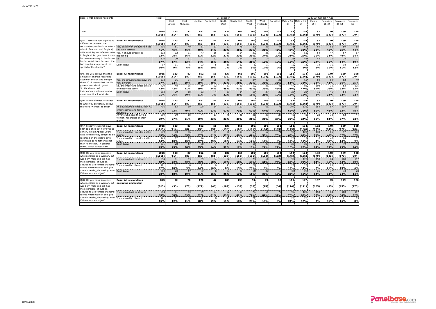| Base: 1,015 English Residents                         |                                    | Total           |        | S1. Location |        |            |       |            |       |          |           | S2 & O3. Gender X Age<br>Male x 16- Male x 35- |       |        |           |           |          |  |
|-------------------------------------------------------|------------------------------------|-----------------|--------|--------------|--------|------------|-------|------------|-------|----------|-----------|------------------------------------------------|-------|--------|-----------|-----------|----------|--|
|                                                       |                                    |                 | East   | East         | London | North East | North | South East | South | West     | Yorkshire |                                                |       | Male x | Female x  | Female x  | Female x |  |
|                                                       |                                    |                 | Anglia | Midlands     |        |            | West  |            | West  | Midlands |           | 34                                             | 54    | $55+$  | $16 - 34$ | $35 - 54$ | 55       |  |
|                                                       |                                    |                 |        |              |        |            |       |            |       |          |           |                                                |       |        |           |           |          |  |
|                                                       |                                    | 1015            | 113    | 87           | 152    | 51         | 137   | 166        | 102   | 106      | 102       | 152                                            | 174   | 182    | 140       | 169       | 198      |  |
| <b>Total</b>                                          |                                    | (1015)          |        | (87)         | (153)  |            |       |            |       |          |           |                                                |       | (179)  |           |           |          |  |
|                                                       |                                    |                 | (114)  |              |        | (51)       | (136) | (166)      | (101) | (104)    | (103)     | (145)                                          | (166) |        | (143)     | (177)     | (204)    |  |
|                                                       |                                    |                 |        |              |        |            |       |            |       |          |           |                                                |       |        |           |           |          |  |
| Q15. There are now significant                        | <b>Base: All respondents</b>       | 1015            | 113    | 87           | 152    | 51         | 137   | 166        | 102   | 106      | 102       | 152                                            | 174   | 182    | 140       | 169       | 198      |  |
| differences between the                               |                                    | (1015)          | (114)  | (87)         | (153)  | (51)       | (136) | (166)      | (101) | (104)    | $(103)$   | (145)                                          | (166) | (179)  | (143)     | (177)     | (204)    |  |
| coronavirus pandemic lockdown                         | Yes, possibly in the future if the | 416             | 51     | 40           | 61     | 17         | 51    | 76         | 39    | 38       | 44        | 71                                             | 66    | 69     | 62        | 59        | 88       |  |
| rules in Scotland and England,                        | situation persists                 | 41%             | 45%    | 46%          | 40%    | 34%        | 37%   | 46%        | 39%   | 36%      | 43%       | 46%                                            | 38%   | 38%    | 45%       | 35%       | 44%      |  |
| with much higher infection rates                      | Yes, it should already be          | 332             | 32     | 31           | 47     | 16         | 50    | 54         | 37    | 36       | 30        | 46                                             | 51    | 54     | 47        | 67        | 67       |  |
| in England. Do you think it may                       | happening                          | 33%             | 28%    | 36%          | 31%    | 32%        | 37%   | 33%        | 36%   | 34%      | 29%       | 31%                                            | 29%   | 30%    | 34%       | 40%       | 34%      |  |
| become necessary to implement No                      |                                    | 170             | 20     | 11           | 21     | 12         | 27    | 24         | 21    | 14       | 19        | 23                                             | 43    | 44     | 15        | 24        | 21       |  |
| border restrictions between the                       |                                    | 17%             | 17%    | 13%          | 14%    | 25%        | 20%   | 14%        | 21%   | 13%      | 19%       | 15%                                            | 25%   | 24%    | 11%       | 14%       | 10%      |  |
| two countries to prevent the                          | Don't know                         | 9               | $-11$  |              | 23     |            | 10    | 12         |       | 17       |           | 12                                             | 14    | 14     |           | 18        | 2:       |  |
| spread of the disease?                                |                                    | 10%             | 9%     | 6%           | 15%    | 10%        | 7%    | 7%         | 5%    | 17%      | 9%        | 8%                                             | 8%    | 8%     | 11%       | 11%       | 12%      |  |
|                                                       |                                    |                 |        |              |        |            |       |            |       |          |           |                                                |       |        |           |           |          |  |
| Q45. Do you believe that the                          | <b>Base: All respondents</b>       | 1015            | 113    | 87           | 152    | 51         | 137   | 166        | 102   | 106      | 102       | 152                                            | 174   | 182    | 140       | 169       | 198      |  |
| amount of change regarding                            |                                    | 1015            | (114)  | (87)         | 153)   | (51)       | (136) | (166)      | (101) | (104)    | 103)      | (145)                                          | (166) | (179)  | (143)     | (177)     | (204)    |  |
| Scotland, the UK and Europe                           | Yes, the circumstances now are     | 37 <sup>5</sup> | 36     | 34           | 59     | 25         | 45    | 63         | 34    | 40       | 36        | 77                                             | 66    | 59     | 59        | 62        | 49       |  |
| since 2014 means that the UK                          | very different                     | 37%             | 32%    | 39%          | 39%    | 49%        | 33%   | 38%        | 33%   | 38%      | 36%       | 51%                                            | 38%   | 33%    | 42%       | 36%       | 25%      |  |
| government should grant                               | No, the important issues are all   | 429             | 48     | 35           | 60     | 22         | 61    | 69         | 50    | 38       | 46        | 47                                             | 81    | 108    | 36        | 53        | 105      |  |
| Scotland a second                                     | or mostly the same                 | 42%             | 42%    | 41%          | 39%    | 44%        | 45%   | 41%        | 49%   | 36%      | 45%       | 31%                                            | 47%   | 59%    | 26%       | 32%       | 53%      |  |
| independence referendum to                            | Don't know                         | 213             | 29     | 18           | 33     |            | 31    | 34         | 18    | 27       | 20        | 28                                             | 26    | 15     | 45        | 54        | 44       |  |
| make sure it still wants to                           |                                    | 21%             | 26%    | 20%          | 21%    | 7%         | 22%   | 20%        | 18%   | 26%      | 19%       | 18%                                            | 15%   | 8%     | 32%       | 32%       | 22%      |  |
|                                                       |                                    |                 |        |              |        |            |       |            |       |          |           |                                                |       |        |           |           |          |  |
| Q46. Which of these is closest                        | <b>Base: All respondents</b>       | 1015            | 113    | 87           | 152    | 51         | 137   | 166        | 102   | 106      | 102       | 152                                            | 174   | 182    | 140       | 169       | 198      |  |
| to what you personally believe                        |                                    | (1015)          | (114)  | (87)         | (153)  | (51)       | (136) | (166)      | (101) | (104)    | (103)     | (145)                                          | (166) | (179)  | (143)     | (177)     | (204)    |  |
| the word "woman" to mean?                             | An adult human female, with XX     | 716             | 83     | 69           | 108    | 34         | 92    | 117        | 71    | 68       | 75        | 104                                            | 132   | 154    | 67        | 107       | 154      |  |
|                                                       | chromosomes and female             |                 |        |              |        |            |       |            |       |          |           |                                                |       |        |           |           |          |  |
|                                                       | genitalia                          | 71%             | 73%    | 79%          | 71%    | 67%        | 67%   | 71%        | 69%   | 64%      | 73%       | 68%                                            | 76%   | 85%    | 48%       | 63%       | 78%      |  |
|                                                       | Anyone who says they're a          | 299             | 30     | 18           | 44     | 17         | 45    | 48         | 31    | 38       | 27        | 48                                             | 41    | 28     | 73        | 62        | 44       |  |
|                                                       | woman, regardless of their         |                 |        |              |        |            |       |            |       |          | 27%       |                                                |       |        |           |           |          |  |
|                                                       |                                    | 29%             | 27%    | 21%          | 29%    | 33%        | 33%   | 29%        | 31%   | 36%      |           | 32%                                            | 24%   | 15%    | 52%       | 37%       | 22%      |  |
|                                                       |                                    |                 |        |              |        |            |       |            |       |          |           |                                                |       |        |           |           |          |  |
| Q47. Freddy McConnell gave                            | <b>Base: All respondents</b>       | 1015            | 113    | 87           | 152    | 51         | 137   | 166        | 102   | 106      | 102       | 152                                            | 174   | 182    | 140       | 169       | 198      |  |
| birth to a child but now lives as                     |                                    | (1015)          | (114)  | (87)         | (153)  | (51)       | (136) | (166)      | (101) | (104)    | (103)     | (145)                                          | (166) | (179)  | (143)     | (177)     | (204)    |  |
| a man, lost an Appeal Court                           | They should be recorded as the     | 639             | 73     | 56           | 87     | 31         | 78    | 113        | 68    | 62       | 71        | 96                                             | 120   | 130    | 65        | 97        | 132      |  |
| case in which they sought to be                       | mother                             | 63%             | 64%    | 65%          | 57%    | 61%        | 57%   | 68%        | 67%   | 59%      | 70%       | 63%                                            | 69%   | 71%    | 46%       | 57%       | 67%      |  |
| recorded on the child's birth                         | They should be recorded as the     | 145             | 12     | 13           | 26     | 13         | 16    | 24         | 18    | 15       |           | 28                                             | 19    | я      | 48        | 24        | 17       |  |
| certificate as its father rather                      | father                             | 14%             | 10%    | 15%          | 17%    | 25%        | 12%   | 14%        | 17%   | 14%      | 8%        | 19%                                            | 11%   | 4%     | 35%       | 14%       | 9%       |  |
| than its mother. In general                           | Don't know                         | 231             | 28     | 17           | 38     |            | 44    | 29         | 16    | 28       | 23        | 28                                             | 35    | 44     | 26        | 49        | 48       |  |
| terms, which is your view                             |                                    | 23%             | 25%    | 20%          | 25%    | 14%        | 32%   | 17%        | 16%   | 27%      | 22%       | 18%                                            | 20%   | 24%    | 19%       | 29%       | 24%      |  |
|                                                       |                                    |                 |        |              |        |            |       |            |       |          |           |                                                |       |        |           |           |          |  |
| Q48. Do you think someone                             | <b>Base: All respondents</b>       | 1015            | 113    | 87           | 152    | 51         | 137   | 166        | 102   | 106      | 102       | 152                                            | 174   | 182    | 140       | 169       | 198      |  |
| who identifies as a woman, but                        |                                    | (1015)          | (114)  | (87)         | (153)  | (51)       | (136) | (166)      | (101) | (104)    | (103)     | (145)                                          | (166) | (179)  | (143)     | (177)     | (204)    |  |
| was born male and still has                           | They should not be allowed         | 694             | 81     | 63           | 99     | 34         | 92    | 113        | 70    | 64       | 77        | 90                                             | 123   | 153    | 64        | 108       | 157      |  |
| male genitalia, should be                             |                                    | 68%             | 72%    | 72%          | 65%    | 68%        | 67%   | 68%        | 69%   | 61%      | 75%       | 60%                                            | 71%   | 84%    | 46%       | 64%       | 79%      |  |
| allowed to use female changing                        | They should be allowed             | 12 <sub>1</sub> | 11     |              | 21     |            | 11    | 25         | 21    | 10       |           | 29                                             | 25    |        | 29        | 21        | 13       |  |
| rooms where women and girls                           |                                    | 12%             | 10%    | 9%           | 14%    | 16%        | 8%    | 15%        | 20%   | 9%       | 6%        | 19%                                            | 14%   | 2%     | 21%       | 13%       | 6%       |  |
| are undressing/showering, even Don't know             |                                    | 200             | 20     | 17           | 32     |            | 34    | 27         | 11    | 32       | 19        | 33                                             | 26    | 25     | 47        | 40        | 28       |  |
| if those women object?                                |                                    | 20%             | 18%    | 19%          | 21%    | 16%        | 25%   | 17%        | 11%   | 30%      | 19%       | 22%                                            | 15%   | 14%    | 34%       | 24%       | 14%      |  |
|                                                       |                                    |                 |        |              |        |            |       |            |       |          |           |                                                |       |        |           |           |          |  |
| Q48. Do you think someone                             | <b>Base: All respondents</b>       | 815             | 92     | 70           | 120    | 42         | 103   | 138        | 91    | 74       | 83        | 119                                            | 147   | 157    | 93        | 129       | 170      |  |
| who identifies as a woman, but                        | excluding undecided                |                 |        |              |        |            |       |            |       |          |           |                                                |       |        |           |           |          |  |
| was born male and still has                           |                                    | (815)           | (93)   | (70)         |        | (43)       | (102) | (139)      | (90)  | (73)     | (84)      |                                                | (141) | (155)  | (95)      | (135)     | (175)    |  |
|                                                       |                                    |                 |        |              | (121)  |            |       |            |       |          |           | (114)                                          |       |        |           |           |          |  |
| male genitalia, should be                             |                                    |                 |        |              |        |            |       |            |       |          |           |                                                |       |        |           |           |          |  |
| allowed to use female changing                        | They should not be allowed         | 694             | 81     | 63           | 99     | 34         | 92    | 113        | 70    | 64       | 77        | 90                                             | 123   | 153    | 64        | 108       | 157      |  |
| rooms where women and girls                           |                                    | 85%             | 88%    | 89%          | 82%    | 81%        | 89%   | 82%        | 77%   | 87%      | 92%       | 76%                                            | 83%   | 97%    | 69%       | 84%       | 92%      |  |
| are undressing/showering, even They should be allowed |                                    | 121             | 11     |              | 21     |            | 11    | 25         | 21    | 10       |           | 29                                             | 25    |        | - 29      | 21        | 13       |  |
| if those women object?                                |                                    | 15%             | 12%    | 11%          | 18%    | 19%        | 11%   | 18%        | 23%   | 13%      | 8%        | 24%                                            | 17%   | 3%     | 31%       | 16%       | 8%       |  |
|                                                       |                                    |                 |        |              |        |            |       |            |       |          |           |                                                |       |        |           |           |          |  |